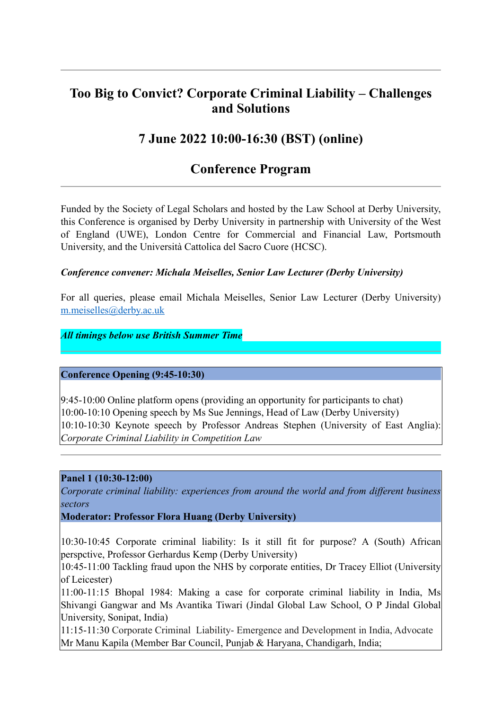# **Too Big to Convict? Corporate Criminal Liability – Challenges and Solutions**

# **7 June 2022 10:00-16:30 (BST) (online)**

## **Conference Program**

Funded by the Society of Legal Scholars and hosted by the Law School at Derby University, this Conference is organised by Derby University in partnership with University of the West of England (UWE), London Centre for Commercial and Financial Law, Portsmouth University, and the Università Cattolica del Sacro Cuore (HCSC).

### *Conference convener: Michala Meiselles, Senior Law Lecturer (Derby University)*

For all queries, please email Michala Meiselles, Senior Law Lecturer (Derby University) [m.meiselles@derby.ac.uk](mailto:m.meiselles@derby.ac.uk)

### *All timings below use British Summer Time*

### **Conference Opening (9:45-10:30)**

9:45-10:00 Online platform opens (providing an opportunity for participants to chat) 10:00-10:10 Opening speech by Ms Sue Jennings, Head of Law (Derby University) 10:10-10:30 Keynote speech by Professor Andreas Stephen (University of East Anglia): *Corporate Criminal Liability in Competition Law*

#### **Panel 1 (10:30-12:00)**

*Corporate criminal liability: experiences from around the world and from different business sectors* 

#### **Moderator: Professor Flora Huang (Derby University)**

10:30-10:45 Corporate criminal liability: Is it still fit for purpose? A (South) African perspctive, Professor Gerhardus Kemp (Derby University)

10:45-11:00 Tackling fraud upon the NHS by corporate entities, Dr Tracey Elliot (University of Leicester)

11:00-11:15 Bhopal 1984: Making a case for corporate criminal liability in India, Ms Shivangi Gangwar and Ms Avantika Tiwari (Jindal Global Law School, O P Jindal Global University, Sonipat, India)

11:15-11:30 Corporate Criminal Liability- Emergence and Development in India, Advocate Mr Manu Kapila (Member Bar Council, Punjab & Haryana, Chandigarh, India;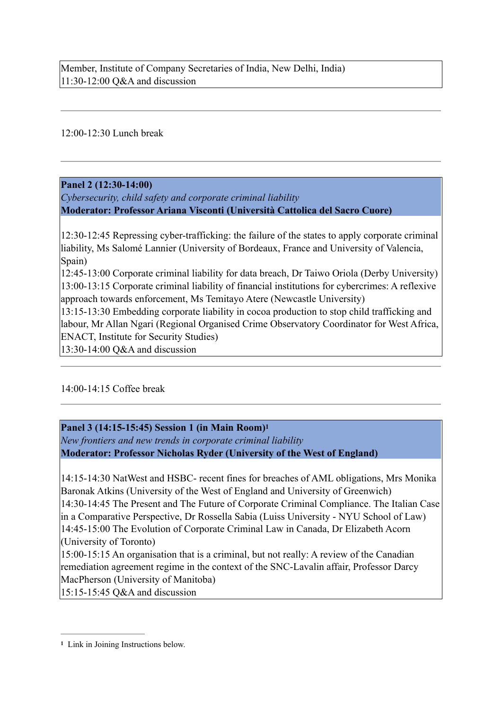Member, Institute of Company Secretaries of India, New Delhi, India) 11:30-12:00 Q&A and discussion

12:00-12:30 Lunch break

## **Panel 2 (12:30-14:00)**

*Cybersecurity, child safety and corporate criminal liability* **Moderator: Professor Ariana Visconti (Università Cattolica del Sacro Cuore)**

12:30-12:45 Repressing cyber-trafficking: the failure of the states to apply corporate criminal liability, Ms Salomé Lannier (University of Bordeaux, France and University of Valencia, Spain)

12:45-13:00 Corporate criminal liability for data breach, Dr Taiwo Oriola (Derby University) 13:00-13:15 Corporate criminal liability of financial institutions for cybercrimes: A reflexive approach towards enforcement, Ms Temitayo Atere (Newcastle University)

13:15-13:30 Embedding corporate liability in cocoa production to stop child trafficking and labour, Mr Allan Ngari (Regional Organised Crime Observatory Coordinator for West Africa, ENACT, Institute for Security Studies)

13:30-14:00 Q&A and discussion

### 14:00-14:15 Coffee break

<span id="page-1-1"></span>**Panel 3 (14:15-15:45) Session 1 (in Main Room)[1](#page-1-0)**

*New frontiers and new trends in corporate criminal liability* **Moderator: Professor Nicholas Ryder (University of the West of England)**

14:15-14:30 NatWest and HSBC- recent fines for breaches of AML obligations, Mrs Monika Baronak Atkins (University of the West of England and University of Greenwich) 14:30-14:45 The Present and The Future of Corporate Criminal Compliance. The Italian Case in a Comparative Perspective, Dr Rossella Sabia (Luiss University - NYU School of Law) 14:45-15:00 The Evolution of Corporate Criminal Law in Canada, Dr Elizabeth Acorn (University of Toronto)

15:00-15:15 An organisation that is a criminal, but not really: A review of the Canadian remediation agreement regime in the context of the SNC-Lavalin affair, Professor Darcy MacPherson (University of Manitoba)

15:15-15:45 Q&A and discussion

<span id="page-1-0"></span><sup>&</sup>lt;sup>[1](#page-1-1)</sup> Link in Joining Instructions below.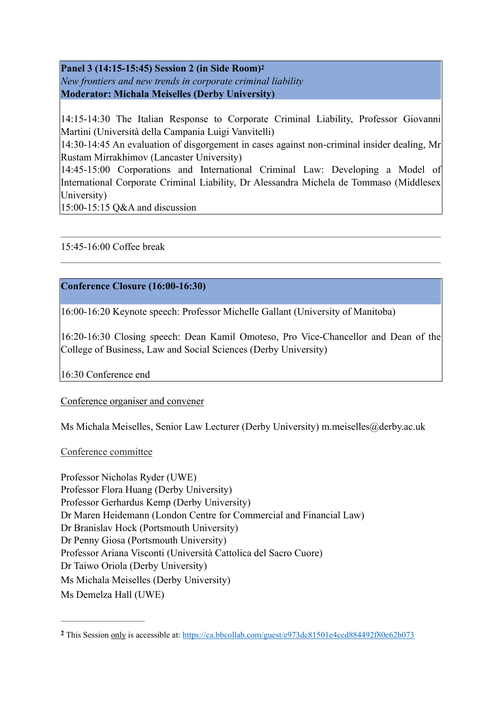<span id="page-2-1"></span>**Panel 3 (14:15-15:45) Session 2 (in Side Room)[2](#page-2-0)** *New frontiers and new trends in corporate criminal liability* **Moderator: Michala Meiselles (Derby University)**

14:15-14:30 The Italian Response to Corporate Criminal Liability, Professor Giovanni Martini (Università della Campania Luigi Vanvitelli)

14:30-14:45 An evaluation of disgorgement in cases against non-criminal insider dealing, Mr Rustam Mirrakhimov (Lancaster University)

14:45-15:00 Corporations and International Criminal Law: Developing a Model of International Corporate Criminal Liability, Dr Alessandra Michela de Tommaso (Middlesex University)

15:00-15:15 Q&A and discussion

## 15:45-16:00 Coffee break

## **Conference Closure (16:00-16:30)**

16:00-16:20 Keynote speech: Professor Michelle Gallant (University of Manitoba)

16:20-16:30 Closing speech: Dean Kamil Omoteso, Pro Vice-Chancellor and Dean of the College of Business, Law and Social Sciences (Derby University)

16:30 Conference end

### Conference organiser and convener

Ms Michala Meiselles, Senior Law Lecturer (Derby University) m.meiselles@derby.ac.uk

#### Conference committee

Professor Nicholas Ryder (UWE) Professor Flora Huang (Derby University) Professor Gerhardus Kemp (Derby University) Dr Maren Heidemann (London Centre for Commercial and Financial Law) Dr Branislav Hock (Portsmouth University) Dr Penny Giosa (Portsmouth University) Professor Ariana Visconti (Università Cattolica del Sacro Cuore) Dr Taiwo Oriola (Derby University) Ms Michala Meiselles (Derby University) Ms Demelza Hall (UWE)

<span id="page-2-0"></span>This Session only is accessible at: <https://ca.bbcollab.com/guest/e973dc81501e4ccd884492f80e62b073> **[2](#page-2-1)**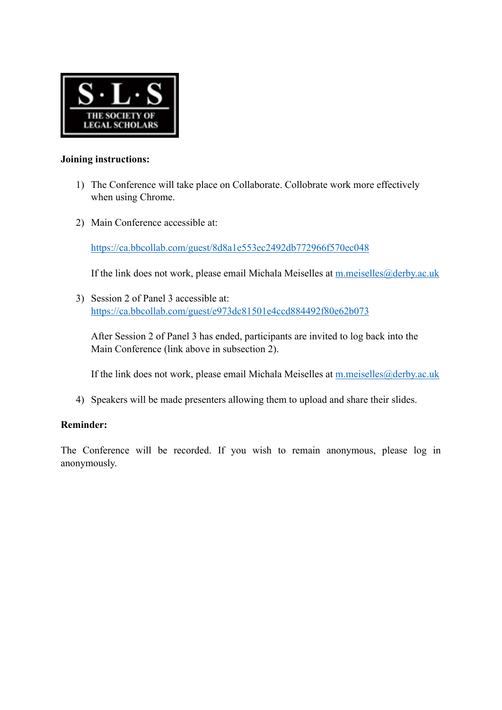

#### **Joining instructions:**

- 1) The Conference will take place on Collaborate. Collobrate work more effectively when using Chrome.
- 2) Main Conference accessible at:

<https://ca.bbcollab.com/guest/8d8a1e553ec2492db772966f570ec048>

If the link does not work, please email Michala Meiselles at [m.meiselles@derby.ac.uk](mailto:m.meiselles@derby.ac.uk)

3) Session 2 of Panel 3 accessible at: <https://ca.bbcollab.com/guest/e973dc81501e4ccd884492f80e62b073>

After Session 2 of Panel 3 has ended, participants are invited to log back into the Main Conference (link above in subsection 2).

If the link does not work, please email Michala Meiselles at [m.meiselles@derby.ac.uk](mailto:m.meiselles@derby.ac.uk)

4) Speakers will be made presenters allowing them to upload and share their slides.

### **Reminder:**

The Conference will be recorded. If you wish to remain anonymous, please log in anonymously.